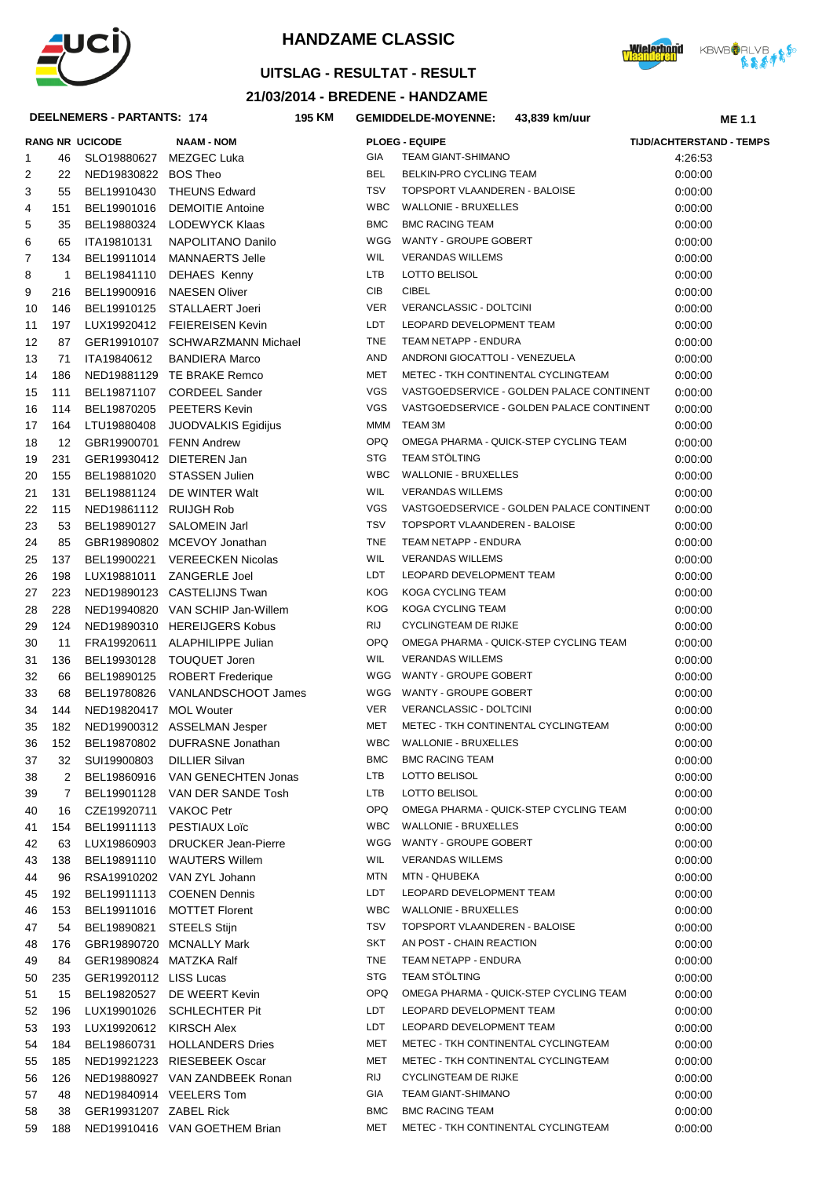



## **UITSLAG - RESULTAT - RESULT**

### **21/03/2014 - BREDENE - HANDZAME**

#### $DEELNEME$

**Wielerhoud** KBWBORLVB

|          |           | DEELNEMERS - PARTANTS: 174 | 195 KM                           |            | <b>GEMIDDELDE-MOYENNE:</b>          | 43,839 km/uur                             | <b>ME 1.1</b>                   |
|----------|-----------|----------------------------|----------------------------------|------------|-------------------------------------|-------------------------------------------|---------------------------------|
|          |           | <b>RANG NR UCICODE</b>     | <b>NAAM - NOM</b>                |            | <b>PLOEG - EQUIPE</b>               |                                           | <b>TIJD/ACHTERSTAND - TEMPS</b> |
| 1        | 46        | SLO19880627 MEZGEC Luka    |                                  | GIA        | TEAM GIANT-SHIMANO                  |                                           | 4:26:53                         |
| 2        | 22        | NED19830822 BOS Theo       |                                  | <b>BEL</b> | BELKIN-PRO CYCLING TEAM             |                                           | 0:00:00                         |
| 3        | 55        |                            | BEL19910430 THEUNS Edward        | <b>TSV</b> | TOPSPORT VLAANDEREN - BALOISE       |                                           | 0:00:00                         |
| 4        | 151       | BEL19901016                | <b>DEMOITIE Antoine</b>          | <b>WBC</b> | <b>WALLONIE - BRUXELLES</b>         |                                           | 0:00:00                         |
| 5        | 35        | BEL19880324                | LODEWYCK Klaas                   | <b>BMC</b> | <b>BMC RACING TEAM</b>              |                                           | 0:00:00                         |
| 6        | 65        | ITA19810131                | NAPOLITANO Danilo                | WGG        | WANTY - GROUPE GOBERT               |                                           | 0:00:00                         |
| 7        | 134       | BEL19911014                | MANNAERTS Jelle                  | WIL        | <b>VERANDAS WILLEMS</b>             |                                           | 0:00:00                         |
| 8        | 1         |                            | BEL19841110 DEHAES Kenny         | LTB        | LOTTO BELISOL                       |                                           | 0:00:00                         |
| 9        | 216       | BEL19900916                | NAESEN Oliver                    | CIB        | <b>CIBEL</b>                        |                                           | 0:00:00                         |
| 10       | 146       |                            | BEL19910125 STALLAERT Joeri      | <b>VER</b> | VERANCLASSIC - DOLTCINI             |                                           | 0:00:00                         |
| 11       | 197       |                            | LUX19920412 FEIEREISEN Kevin     | LDT        | LEOPARD DEVELOPMENT TEAM            |                                           | 0:00:00                         |
| 12       | 87        |                            | GER19910107 SCHWARZMANN Michael  | <b>TNE</b> | TEAM NETAPP - ENDURA                |                                           | 0:00:00                         |
| 13       | 71        | ITA19840612                | <b>BANDIERA Marco</b>            | AND        | ANDRONI GIOCATTOLI - VENEZUELA      |                                           | 0:00:00                         |
| 14       | 186       |                            | NED19881129 TE BRAKE Remco       | MET        | METEC - TKH CONTINENTAL CYCLINGTEAM |                                           | 0:00:00                         |
| 15       | 111       |                            | BEL19871107 CORDEEL Sander       | VGS        |                                     | VASTGOEDSERVICE - GOLDEN PALACE CONTINENT | 0:00:00                         |
| 16       | 114       |                            | BEL19870205 PEETERS Kevin        | VGS        |                                     | VASTGOEDSERVICE - GOLDEN PALACE CONTINENT | 0.00:00                         |
| 17       | 164       | LTU19880408                | JUODVALKIS Egidijus              | MMM        | TEAM 3M                             |                                           | 0.00:00                         |
| 18       | 12        | GBR19900701 FENN Andrew    |                                  | <b>OPQ</b> |                                     | OMEGA PHARMA - QUICK-STEP CYCLING TEAM    | 0.00:00                         |
| 19       | 231       |                            | GER19930412 DIETEREN Jan         | <b>STG</b> | <b>TEAM STÖLTING</b>                |                                           | 0:00:00                         |
| 20       | 155       |                            | BEL19881020 STASSEN Julien       | <b>WBC</b> | <b>WALLONIE - BRUXELLES</b>         |                                           | 0:00:00                         |
| 21       | 131       |                            | BEL19881124 DE WINTER Walt       | <b>WIL</b> | <b>VERANDAS WILLEMS</b>             |                                           | 0:00:00                         |
| 22       | 115       | NED19861112 RUIJGH Rob     |                                  | <b>VGS</b> |                                     | VASTGOEDSERVICE - GOLDEN PALACE CONTINENT | 0:00:00                         |
| 23       | 53        |                            | BEL19890127 SALOMEIN Jarl        | <b>TSV</b> | TOPSPORT VLAANDEREN - BALOISE       |                                           | 0:00:00                         |
| 24       | 85        |                            | GBR19890802 MCEVOY Jonathan      | <b>TNE</b> | TEAM NETAPP - ENDURA                |                                           | 0:00:00                         |
| 25       | 137       | BEL19900221                | <b>VEREECKEN Nicolas</b>         | WIL        | <b>VERANDAS WILLEMS</b>             |                                           | 0:00:00                         |
| 26       | 198       | LUX19881011                | ZANGERLE Joel                    | LDT        | LEOPARD DEVELOPMENT TEAM            |                                           | 0:00:00                         |
| 27       | 223       |                            | NED19890123 CASTELIJNS Twan      | <b>KOG</b> | KOGA CYCLING TEAM                   |                                           | 0:00:00                         |
| 28       | 228       |                            | NED19940820 VAN SCHIP Jan-Willem | <b>KOG</b> | KOGA CYCLING TEAM                   |                                           | 0:00:00                         |
| 29       | 124       |                            | NED19890310 HEREIJGERS Kobus     | RIJ        | <b>CYCLINGTEAM DE RIJKE</b>         |                                           | 0:00:00                         |
| 30       | 11        |                            | FRA19920611 ALAPHILIPPE Julian   | <b>OPQ</b> |                                     | OMEGA PHARMA - QUICK-STEP CYCLING TEAM    | 0:00:00                         |
| 31       | 136       | BEL19930128                | TOUQUET Joren                    | <b>WIL</b> | <b>VERANDAS WILLEMS</b>             |                                           | 0:00:00                         |
| 32       | 66        | BEL19890125                | <b>ROBERT Frederique</b>         |            | WGG WANTY - GROUPE GOBERT           |                                           | 0:00:00                         |
| 33       | 68        | BEL19780826                | VANLANDSCHOOT James              |            | WGG WANTY - GROUPE GOBERT           |                                           | 0:00:00                         |
| 34       | 144       | NED19820417 MOL Wouter     |                                  | <b>VER</b> | VERANCLASSIC - DOLTCINI             |                                           | 0:00:00                         |
| 35       | 182       |                            | NED19900312 ASSELMAN Jesper      | MET        | METEC - TKH CONTINENTAL CYCLINGTEAM |                                           | 0:00:00                         |
| 36       | 152       |                            | BEL19870802 DUFRASNE Jonathan    |            | WBC WALLONIE - BRUXELLES            |                                           | 0:00:00                         |
| 37       | 32        | SUI19900803                | <b>DILLIER Silvan</b>            | <b>BMC</b> | <b>BMC RACING TEAM</b>              |                                           | 0:00:00                         |
| 38       | 2         | BEL19860916                | VAN GENECHTEN Jonas              | LTB        | LOTTO BELISOL                       |                                           | 0:00:00                         |
| 39       | 7         |                            | BEL19901128 VAN DER SANDE Tosh   | LTB        | LOTTO BELISOL                       |                                           | 0:00:00                         |
| 40       | 16        | CZE19920711 VAKOC Petr     |                                  | OPQ        |                                     | OMEGA PHARMA - QUICK-STEP CYCLING TEAM    | 0.00:00                         |
| 41       | 154       |                            | BEL19911113 PESTIAUX Loïc        | <b>WBC</b> | <b>WALLONIE - BRUXELLES</b>         |                                           | 0:00:00                         |
| 42       | 63        |                            | LUX19860903 DRUCKER Jean-Pierre  |            | WGG WANTY - GROUPE GOBERT           |                                           | 0:00:00                         |
| 43       | 138       |                            | BEL19891110 WAUTERS Willem       | WIL        | <b>VERANDAS WILLEMS</b>             |                                           | 0:00:00                         |
| 44       | 96        |                            | RSA19910202 VAN ZYL Johann       | <b>MTN</b> | <b>MTN - QHUBEKA</b>                |                                           | 0:00:00                         |
| 45       | 192       |                            | BEL19911113 COENEN Dennis        | LDT        | LEOPARD DEVELOPMENT TEAM            |                                           | 0:00:00                         |
| 46       | 153       |                            | BEL19911016 MOTTET Florent       | <b>WBC</b> | WALLONIE - BRUXELLES                |                                           | 0:00:00                         |
| 47       | 54        | BEL19890821                | STEELS Stijn                     | TSV        | TOPSPORT VLAANDEREN - BALOISE       |                                           | 0:00:00                         |
| 48       | 176       |                            | GBR19890720 MCNALLY Mark         | SKT        | AN POST - CHAIN REACTION            |                                           | 0:00:00                         |
| 49       | 84        | GER19890824 MATZKA Ralf    |                                  | <b>TNE</b> | TEAM NETAPP - ENDURA                |                                           | 0:00:00                         |
| 50       | 235       | GER19920112 LISS Lucas     |                                  | <b>STG</b> | <b>TEAM STOLTING</b>                |                                           | 0:00:00                         |
|          |           |                            | BEL19820527 DE WEERT Kevin       | OPQ        |                                     | OMEGA PHARMA - QUICK-STEP CYCLING TEAM    |                                 |
| 51<br>52 | 15<br>196 |                            | LUX19901026 SCHLECHTER Pit       | LDT        | LEOPARD DEVELOPMENT TEAM            |                                           | 0:00:00<br>0:00:00              |
|          |           |                            |                                  |            |                                     |                                           |                                 |
| 53       | 193       | LUX19920612 KIRSCH Alex    |                                  | LDT        | LEOPARD DEVELOPMENT TEAM            |                                           | 0:00:00                         |
| 54       | 184       |                            | BEL19860731 HOLLANDERS Dries     | MET        | METEC - TKH CONTINENTAL CYCLINGTEAM |                                           | 0.00:00                         |
| 55       | 185       |                            | NED19921223 RIESEBEEK Oscar      | MET        | METEC - TKH CONTINENTAL CYCLINGTEAM |                                           | 0:00:00                         |
| 56       | 126       |                            | NED19880927 VAN ZANDBEEK Ronan   | RIJ        | <b>CYCLINGTEAM DE RIJKE</b>         |                                           | 0.00:00                         |
| 57       | 48        |                            | NED19840914 VEELERS Tom          | GIA        | <b>TEAM GIANT-SHIMANO</b>           |                                           | 0:00:00                         |
| 58       | 38        | GER19931207 ZABEL Rick     |                                  | <b>BMC</b> | <b>BMC RACING TEAM</b>              |                                           | 0:00:00                         |
| 59       | 188       |                            | NED19910416 VAN GOETHEM Brian    | MET        | METEC - TKH CONTINENTAL CYCLINGTEAM |                                           | 0:00:00                         |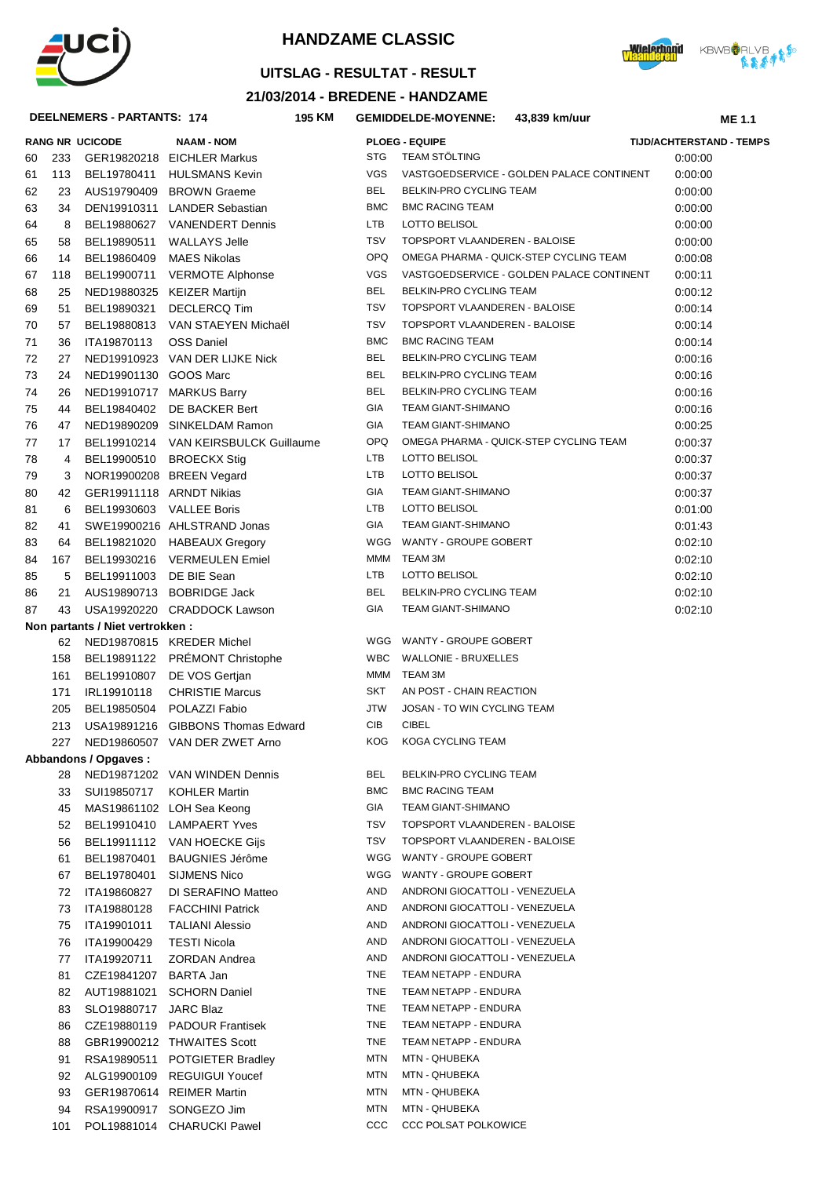



## **UITSLAG - RESULTAT - RESULT**

### **21/03/2014 - BREDENE - HANDZAME**

#### **DEELNEMERS - PARTANTS: 174**

| DEELNEMERS - PARTANTS: 174<br>195 KM |          |                                  |                                               |            | <b>GEMIDDELDE-MOYENNE:</b><br>43,839 km/uur<br><b>ME 1.1</b> |                                           |                          |
|--------------------------------------|----------|----------------------------------|-----------------------------------------------|------------|--------------------------------------------------------------|-------------------------------------------|--------------------------|
|                                      |          | <b>RANG NR UCICODE</b>           | <b>NAAM - NOM</b>                             |            | <b>PLOEG - EQUIPE</b>                                        |                                           | TIJD/ACHTERSTAND - TEMPS |
| 60                                   | 233      |                                  | GER19820218 EICHLER Markus                    | <b>STG</b> | <b>TEAM STÖLTING</b>                                         |                                           | 0:00:00                  |
| 61                                   | 113      | BEL19780411                      | <b>HULSMANS Kevin</b>                         | <b>VGS</b> |                                                              | VASTGOEDSERVICE - GOLDEN PALACE CONTINENT | 0:00:00                  |
| 62                                   | 23       |                                  | AUS19790409 BROWN Graeme                      | <b>BEL</b> | BELKIN-PRO CYCLING TEAM                                      |                                           | 0:00:00                  |
| 63                                   | 34       |                                  | DEN19910311 LANDER Sebastian                  | <b>BMC</b> | <b>BMC RACING TEAM</b>                                       |                                           | 0:00:00                  |
| 64                                   | 8        |                                  | BEL19880627 VANENDERT Dennis                  | LTB        | LOTTO BELISOL                                                |                                           | 0:00:00                  |
| 65                                   | 58       | BEL19890511                      | <b>WALLAYS Jelle</b>                          | <b>TSV</b> | TOPSPORT VLAANDEREN - BALOISE                                |                                           | 0:00:00                  |
| 66                                   | 14       | BEL19860409                      | MAES Nikolas                                  | OPQ        |                                                              | OMEGA PHARMA - QUICK-STEP CYCLING TEAM    | 0:00:08                  |
| 67                                   | 118      | BEL19900711                      | <b>VERMOTE Alphonse</b>                       | <b>VGS</b> |                                                              | VASTGOEDSERVICE - GOLDEN PALACE CONTINENT | 0:00:11                  |
| 68                                   | 25       |                                  | NED19880325 KEIZER Martijn                    | <b>BEL</b> | BELKIN-PRO CYCLING TEAM                                      |                                           | 0:00:12                  |
| 69                                   | 51       | BEL19890321                      | <b>DECLERCQ Tim</b>                           | <b>TSV</b> | TOPSPORT VLAANDEREN - BALOISE                                |                                           | 0:00:14                  |
| 70                                   | 57       | BEL19880813                      | VAN STAEYEN Michaël                           | <b>TSV</b> | TOPSPORT VLAANDEREN - BALOISE                                |                                           | 0:00:14                  |
| 71                                   | 36       | ITA19870113                      | <b>OSS Daniel</b>                             | <b>BMC</b> | <b>BMC RACING TEAM</b>                                       |                                           | 0:00:14                  |
| 72                                   | 27       |                                  | NED19910923 VAN DER LIJKE Nick                | BEL        | BELKIN-PRO CYCLING TEAM                                      |                                           | 0:00:16                  |
| 73                                   | 24       | NED19901130 GOOS Marc            |                                               | BEL        | BELKIN-PRO CYCLING TEAM                                      |                                           | 0:00:16                  |
| 74                                   | 26       |                                  | NED19910717 MARKUS Barry                      | <b>BEL</b> | BELKIN-PRO CYCLING TEAM                                      |                                           | 0:00:16                  |
| 75                                   | 44       |                                  | BEL19840402 DE BACKER Bert                    | GIA        | <b>TEAM GIANT-SHIMANO</b>                                    |                                           | 0:00:16                  |
| 76                                   | 47       |                                  | NED19890209 SINKELDAM Ramon                   | GIA        | <b>TEAM GIANT-SHIMANO</b>                                    |                                           | 0:00:25                  |
| 77                                   | 17       |                                  | BEL19910214 VAN KEIRSBULCK Guillaume          | OPQ        |                                                              | OMEGA PHARMA - QUICK-STEP CYCLING TEAM    | 0:00:37                  |
| 78                                   | 4        | BEL19900510                      | BROECKX Stig                                  | LTB        | LOTTO BELISOL                                                |                                           | 0:00:37                  |
| 79                                   | 3        |                                  | NOR19900208 BREEN Vegard                      | LTB        | <b>LOTTO BELISOL</b>                                         |                                           | 0:00:37                  |
| 80                                   | 42       | GER19911118 ARNDT Nikias         |                                               | GIA        | <b>TEAM GIANT-SHIMANO</b>                                    |                                           | 0:00:37                  |
| 81                                   | 6        | BEL19930603 VALLEE Boris         |                                               | LTB        | LOTTO BELISOL                                                |                                           | 0:01:00                  |
| 82                                   | 41       |                                  | SWE19900216 AHLSTRAND Jonas                   | GIA        | <b>TEAM GIANT-SHIMANO</b>                                    |                                           | 0:01:43                  |
| 83                                   | 64       |                                  | BEL19821020 HABEAUX Gregory                   | WGG<br>MMM | WANTY - GROUPE GOBERT<br>TEAM 3M                             |                                           | 0:02:10                  |
| 84                                   | 167      | BEL19930216                      | VERMEULEN Emiel                               | LTB        | <b>LOTTO BELISOL</b>                                         |                                           | 0:02:10                  |
| 85                                   | 5<br>21  | BEL19911003                      | DE BIE Sean<br>AUS19890713 BOBRIDGE Jack      | <b>BEL</b> | BELKIN-PRO CYCLING TEAM                                      |                                           | 0:02:10<br>0:02:10       |
| 86<br>87                             | 43       |                                  | USA19920220 CRADDOCK Lawson                   | GIA        | <b>TEAM GIANT-SHIMANO</b>                                    |                                           | 0:02:10                  |
|                                      |          | Non partants / Niet vertrokken : |                                               |            |                                                              |                                           |                          |
|                                      |          |                                  | 62 NED19870815 KREDER Michel                  |            | WGG WANTY - GROUPE GOBERT                                    |                                           |                          |
|                                      | 158      |                                  | BEL19891122 PRÉMONT Christophe                | <b>WBC</b> | <b>WALLONIE - BRUXELLES</b>                                  |                                           |                          |
|                                      | 161      |                                  | BEL19910807 DE VOS Gertjan                    | MMM        | TEAM 3M                                                      |                                           |                          |
|                                      | 171      | IRL19910118                      | <b>CHRISTIE Marcus</b>                        | SKT        | AN POST - CHAIN REACTION                                     |                                           |                          |
|                                      | 205      |                                  | BEL19850504 POLAZZI Fabio                     | <b>JTW</b> | JOSAN - TO WIN CYCLING TEAM                                  |                                           |                          |
|                                      | 213      |                                  | USA19891216 GIBBONS Thomas Edward             | CIB        | <b>CIBEL</b>                                                 |                                           |                          |
|                                      | 227      |                                  | NED19860507 VAN DER ZWET Arno                 | KOG        | KOGA CYCLING TEAM                                            |                                           |                          |
|                                      |          | Abbandons / Opgaves:             |                                               |            |                                                              |                                           |                          |
|                                      | 28       |                                  | NED19871202 VAN WINDEN Dennis                 | BEL        | BELKIN-PRO CYCLING TEAM                                      |                                           |                          |
|                                      | 33       | SUI19850717                      | KOHLER Martin                                 | <b>BMC</b> | <b>BMC RACING TEAM</b>                                       |                                           |                          |
|                                      | 45       |                                  | MAS19861102 LOH Sea Keong                     | GIA        | <b>TEAM GIANT-SHIMANO</b>                                    |                                           |                          |
|                                      | 52       |                                  | BEL19910410 LAMPAERT Yves                     | TSV        | TOPSPORT VLAANDEREN - BALOISE                                |                                           |                          |
|                                      | 56       |                                  | BEL19911112 VAN HOECKE Gijs                   | TSV        | TOPSPORT VLAANDEREN - BALOISE                                |                                           |                          |
|                                      | 61       | BEL19870401                      | <b>BAUGNIES Jérôme</b>                        | WGG<br>WGG | WANTY - GROUPE GOBERT<br>WANTY - GROUPE GOBERT               |                                           |                          |
|                                      | 67       | BEL19780401                      | SIJMENS Nico                                  | AND        | ANDRONI GIOCATTOLI - VENEZUELA                               |                                           |                          |
|                                      | 72<br>73 | ITA19860827<br>ITA19880128       | DI SERAFINO Matteo<br><b>FACCHINI Patrick</b> | AND        | ANDRONI GIOCATTOLI - VENEZUELA                               |                                           |                          |
|                                      | 75       | ITA19901011                      | <b>TALIANI Alessio</b>                        | AND        | ANDRONI GIOCATTOLI - VENEZUELA                               |                                           |                          |
|                                      | 76       | ITA19900429                      | <b>TESTI Nicola</b>                           | AND        | ANDRONI GIOCATTOLI - VENEZUELA                               |                                           |                          |
|                                      | 77       | ITA19920711                      | ZORDAN Andrea                                 | AND        | ANDRONI GIOCATTOLI - VENEZUELA                               |                                           |                          |
|                                      | 81       | CZE19841207 BARTA Jan            |                                               | TNE        | TEAM NETAPP - ENDURA                                         |                                           |                          |
|                                      | 82       | AUT19881021                      | <b>SCHORN Daniel</b>                          | TNE        | TEAM NETAPP - ENDURA                                         |                                           |                          |
|                                      | 83       | SLO19880717 JARC Blaz            |                                               | <b>TNE</b> | TEAM NETAPP - ENDURA                                         |                                           |                          |
|                                      | 86       |                                  | CZE19880119 PADOUR Frantisek                  | TNE        | TEAM NETAPP - ENDURA                                         |                                           |                          |
|                                      | 88       |                                  | GBR19900212 THWAITES Scott                    | <b>TNE</b> | TEAM NETAPP - ENDURA                                         |                                           |                          |
|                                      | 91       |                                  | RSA19890511 POTGIETER Bradley                 | MTN        | MTN - QHUBEKA                                                |                                           |                          |
|                                      | 92       |                                  | ALG19900109 REGUIGUI Youcef                   | MTN        | MTN - QHUBEKA                                                |                                           |                          |
|                                      | 93       |                                  | GER19870614 REIMER Martin                     | MTN        | MTN - QHUBEKA                                                |                                           |                          |
|                                      | 94       |                                  | RSA19900917 SONGEZO Jim                       | MTN        | MTN - QHUBEKA                                                |                                           |                          |
|                                      | 101      |                                  | POL19881014 CHARUCKI Pawel                    | ccc        | <b>CCC POLSAT POLKOWICE</b>                                  |                                           |                          |

| 60 | 233 |                                  | GER19820218 EICHLER Markus           | <b>STG</b> | <b>TEAM STÖLTING</b>        |
|----|-----|----------------------------------|--------------------------------------|------------|-----------------------------|
| 61 | 113 | BEL19780411                      | <b>HULSMANS Kevin</b>                | <b>VGS</b> | VASTGOEDSERVICE - GOLDEN I  |
| 62 | 23  |                                  | AUS19790409 BROWN Graeme             | <b>BEL</b> | BELKIN-PRO CYCLING TEAM     |
| 63 | 34  |                                  | DEN19910311 LANDER Sebastian         | <b>BMC</b> | <b>BMC RACING TEAM</b>      |
| 64 | 8   | BEL19880627                      | <b>VANENDERT Dennis</b>              | <b>LTB</b> | <b>LOTTO BELISOL</b>        |
| 65 | 58  | BEL19890511                      | <b>WALLAYS Jelle</b>                 | <b>TSV</b> | TOPSPORT VLAANDEREN - BAL   |
| 66 | 14  | BEL19860409                      | MAES Nikolas                         | <b>OPQ</b> | OMEGA PHARMA - QUICK-STEP   |
| 67 | 118 | BEL19900711                      | <b>VERMOTE Alphonse</b>              | <b>VGS</b> | VASTGOEDSERVICE - GOLDEN I  |
| 68 | 25  |                                  | NED19880325 KEIZER Martijn           | <b>BEL</b> | BELKIN-PRO CYCLING TEAM     |
| 69 | 51  | BEL19890321                      | <b>DECLERCQ Tim</b>                  | <b>TSV</b> | TOPSPORT VLAANDEREN - BAL   |
| 70 | 57  | BEL19880813                      | VAN STAEYEN Michaël                  | <b>TSV</b> | TOPSPORT VLAANDEREN - BAL   |
| 71 | 36  | ITA19870113                      | <b>OSS Daniel</b>                    | <b>BMC</b> | <b>BMC RACING TEAM</b>      |
| 72 | 27  |                                  | NED19910923 VAN DER LIJKE Nick       | <b>BEL</b> | BELKIN-PRO CYCLING TEAM     |
| 73 | 24  | NED19901130 GOOS Marc            |                                      | <b>BEL</b> | BELKIN-PRO CYCLING TEAM     |
| 74 | 26  |                                  | NED19910717 MARKUS Barry             | <b>BEL</b> | BELKIN-PRO CYCLING TEAM     |
| 75 | 44  | BEL19840402                      | DE BACKER Bert                       | <b>GIA</b> | TEAM GIANT-SHIMANO          |
| 76 | 47  |                                  | NED19890209 SINKELDAM Ramon          | <b>GIA</b> | <b>TEAM GIANT-SHIMANO</b>   |
| 77 | 17  |                                  | BEL19910214 VAN KEIRSBULCK Guillaume | <b>OPQ</b> | OMEGA PHARMA - QUICK-STEP   |
| 78 | 4   |                                  | BEL19900510 BROECKX Stig             | LTB        | LOTTO BELISOL               |
| 79 | 3   |                                  | NOR19900208 BREEN Vegard             | LTB        | <b>LOTTO BELISOL</b>        |
| 80 | 42  | GER19911118 ARNDT Nikias         |                                      | <b>GIA</b> | TEAM GIANT-SHIMANO          |
| 81 | 6   | BEL19930603 VALLEE Boris         |                                      | <b>LTB</b> | LOTTO BELISOL               |
| 82 | 41  |                                  | SWE19900216 AHLSTRAND Jonas          | <b>GIA</b> | <b>TEAM GIANT-SHIMANO</b>   |
| 83 | 64  |                                  | BEL19821020 HABEAUX Gregory          | WGG        | WANTY - GROUPE GOBERT       |
| 84 | 167 |                                  | BEL19930216 VERMEULEN Emiel          | MMM        | TEAM 3M                     |
| 85 | 5   | BEL19911003 DE BIE Sean          |                                      | <b>LTB</b> | LOTTO BELISOL               |
| 86 | 21  |                                  | AUS19890713 BOBRIDGE Jack            | <b>BEL</b> | BELKIN-PRO CYCLING TEAM     |
| 87 | 43  |                                  | USA19920220 CRADDOCK Lawson          | <b>GIA</b> | <b>TEAM GIANT-SHIMANO</b>   |
|    |     | Non partants / Niet vertrokken : |                                      |            |                             |
|    | 62  |                                  | NED19870815 KREDER Michel            |            | WGG WANTY - GROUPE GOBERT   |
|    | 158 | BEL19891122                      | PRÉMONT Christophe                   | <b>WBC</b> | <b>WALLONIE - BRUXELLES</b> |
|    | 161 | BEL19910807                      | DE VOS Gertjan                       | MMM        | TEAM 3M                     |
|    | 171 | IRL19910118                      | <b>CHRISTIE Marcus</b>               | SKT        | AN POST - CHAIN REACTION    |
|    | 205 | BEL19850504                      | POLAZZI Fabio                        | <b>JTW</b> | JOSAN - TO WIN CYCLING TEAM |
|    | 213 |                                  | USA19891216 GIBBONS Thomas Edward    | <b>CIB</b> | <b>CIBEL</b>                |
|    | 227 |                                  | NED19860507 VAN DER ZWET Arno        | <b>KOG</b> | KOGA CYCLING TEAM           |
|    |     | Abbandons / Opgaves:             |                                      |            |                             |
|    | 28  |                                  | NED19871202 VAN WINDEN Dennis        | <b>BEL</b> | BELKIN-PRO CYCLING TEAM     |
|    | 33  | SUI19850717                      | <b>KOHLER Martin</b>                 | <b>BMC</b> | <b>BMC RACING TEAM</b>      |
|    | 45  |                                  | MAS19861102 LOH Sea Keong            | GIA        | TEAM GIANT-SHIMANO          |
|    | 52  | BEL19910410                      | <b>LAMPAERT Yves</b>                 | TSV        | TOPSPORT VLAANDEREN - BAL   |
|    | 56  | BEL19911112                      | VAN HOECKE Gijs                      | <b>TSV</b> | TOPSPORT VLAANDEREN - BAL   |
|    | 61  | BEL19870401                      | <b>BAUGNIES Jérôme</b>               | WGG        | WANTY - GROUPE GOBERT       |
|    | 67  | BEL19780401                      | SIJMENS Nico                         | WGG        | WANTY - GROUPE GOBERT       |
|    | 72  | ITA19860827                      | DI SERAFINO Matteo                   | AND        | ANDRONI GIOCATTOLI - VENEZU |
|    | 73  | ITA19880128                      | <b>FACCHINI Patrick</b>              | AND        | ANDRONI GIOCATTOLI - VENEZU |
|    | 75  | ITA19901011                      | <b>TALIANI Alessio</b>               | AND        | ANDRONI GIOCATTOLI - VENEZU |
|    | 76  | ITA19900429                      | <b>TESTI Nicola</b>                  | AND        | ANDRONI GIOCATTOLI - VENEZU |
|    | 77  | ITA19920711                      | <b>ZORDAN Andrea</b>                 | AND        | ANDRONI GIOCATTOLI - VENEZU |
|    | 81  | CZE19841207                      | <b>BARTA Jan</b>                     | TNE        | TEAM NETAPP - ENDURA        |
|    |     |                                  |                                      | TNE        | TEAM NETAPP - ENDURA        |
|    | 82  | AUT19881021                      | <b>SCHORN Daniel</b>                 | TNE        | TEAM NETAPP - ENDURA        |
|    | 83  | SLO19880717                      | <b>JARC Blaz</b>                     | TNE        | TEAM NETAPP - ENDURA        |
|    | 86  |                                  | CZE19880119 PADOUR Frantisek         |            |                             |
|    | 88  |                                  | GBR19900212 THWAITES Scott           | TNE        | TEAM NETAPP - ENDURA        |
|    | 91  |                                  | RSA19890511 POTGIETER Bradley        | MTN        | MTN - QHUBEKA               |
|    | 92  | ALG19900109                      | <b>REGUIGUI Youcef</b>               | <b>MTN</b> | MTN - QHUBEKA               |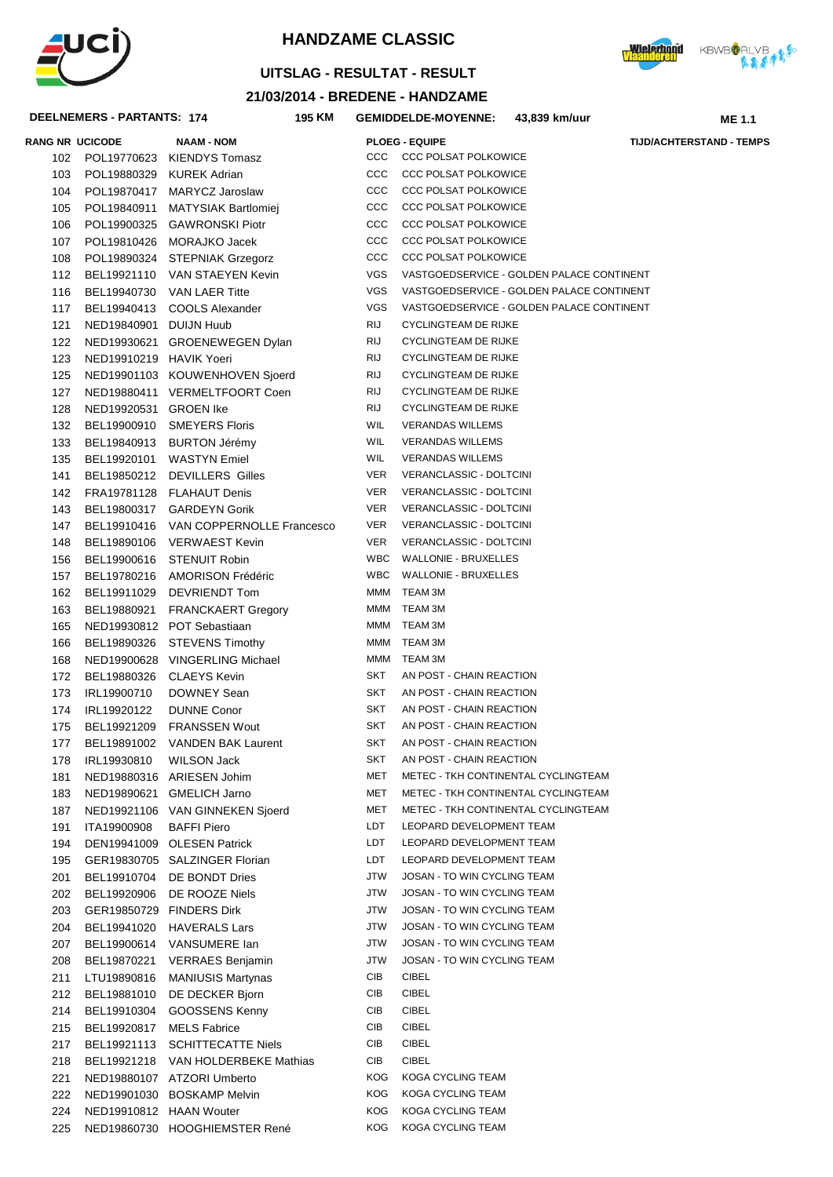



**ME 1.1** 

# **UITSLAG - RESULTAT - RESULT**

# 21/03/2014 - BREDENE - HANDZAME

195 KM GEMIDDELDE-MOYENNE: 43,839 km/uur

### DEELNEMERS - PARTANTS: 174

|            | <b>RANG NR UCICODE</b>   | <b>NAAM - NOM</b>                     |            | <b>PLOEG - EQUIPE</b><br><b>TIJD/ACHTERSTAND - TEMPS</b> |
|------------|--------------------------|---------------------------------------|------------|----------------------------------------------------------|
|            |                          | 102 POL19770623 KIENDYS Tomasz        | ccc        | <b>CCC POLSAT POLKOWICE</b>                              |
| 103        | POL19880329 KUREK Adrian |                                       | ccc        | <b>CCC POLSAT POLKOWICE</b>                              |
| 104        |                          | POL19870417 MARYCZ Jaroslaw           | ccc        | <b>CCC POLSAT POLKOWICE</b>                              |
| 105        |                          | POL19840911 MATYSIAK Bartlomiej       | ccc        | <b>CCC POLSAT POLKOWICE</b>                              |
| 106        |                          | POL19900325 GAWRONSKI Piotr           | ccc        | <b>CCC POLSAT POLKOWICE</b>                              |
| 107        |                          | POL19810426 MORAJKO Jacek             | ccc        | <b>CCC POLSAT POLKOWICE</b>                              |
| 108        |                          | POL19890324 STEPNIAK Grzegorz         | ccc        | <b>CCC POLSAT POLKOWICE</b>                              |
| 112        |                          | BEL19921110 VAN STAEYEN Kevin         | VGS        | VASTGOEDSERVICE - GOLDEN PALACE CONTINENT                |
| 116        |                          | BEL19940730 VAN LAER Titte            | VGS        | VASTGOEDSERVICE - GOLDEN PALACE CONTINENT                |
| 117        |                          | BEL19940413 COOLS Alexander           | VGS        | VASTGOEDSERVICE - GOLDEN PALACE CONTINENT                |
| 121        | NED19840901 DUIJN Huub   |                                       | RIJ        | <b>CYCLINGTEAM DE RIJKE</b>                              |
| 122        |                          | NED19930621 GROENEWEGEN Dylan         | RIJ        | <b>CYCLINGTEAM DE RIJKE</b>                              |
| 123        | NED19910219 HAVIK Yoeri  |                                       | RIJ        | <b>CYCLINGTEAM DE RIJKE</b>                              |
| 125        |                          | NED19901103 KOUWENHOVEN Sjoerd        | RIJ        | <b>CYCLINGTEAM DE RIJKE</b>                              |
| 127        |                          | NED19880411 VERMELTFOORT Coen         | RIJ        | <b>CYCLINGTEAM DE RIJKE</b>                              |
| 128        | NED19920531 GROEN Ike    |                                       | RIJ        | <b>CYCLINGTEAM DE RIJKE</b>                              |
| 132        |                          | BEL19900910 SMEYERS Floris            | <b>WIL</b> | <b>VERANDAS WILLEMS</b>                                  |
| 133        |                          | BEL19840913 BURTON Jérémy             | WIL        | <b>VERANDAS WILLEMS</b>                                  |
| 135        |                          | BEL19920101 WASTYN Emiel              | <b>WIL</b> | <b>VERANDAS WILLEMS</b>                                  |
| 141        |                          | BEL19850212 DEVILLERS Gilles          | VER        | VERANCLASSIC - DOLTCINI                                  |
| 142        |                          | FRA19781128 FLAHAUT Denis             | VER        | VERANCLASSIC - DOLTCINI                                  |
| 143        |                          | BEL19800317 GARDEYN Gorik             | <b>VER</b> | VERANCLASSIC - DOLTCINI                                  |
| 147        |                          | BEL19910416 VAN COPPERNOLLE Francesco | <b>VER</b> | VERANCLASSIC - DOLTCINI                                  |
| 148        |                          | BEL19890106 VERWAEST Kevin            | <b>VER</b> | VERANCLASSIC - DOLTCINI                                  |
| 156        |                          | BEL19900616 STENUIT Robin             | WBC        | <b>WALLONIE - BRUXELLES</b>                              |
| 157        |                          | BEL19780216 AMORISON Frédéric         | WBC        | <b>WALLONIE - BRUXELLES</b>                              |
| 162        |                          | BEL19911029 DEVRIENDT Tom             | MMM        | TEAM 3M                                                  |
| 163        | BEL19880921              | <b>FRANCKAERT Gregory</b>             | MMM        | TEAM 3M                                                  |
| 165        |                          | NED19930812 POT Sebastiaan            |            | MMM TEAM 3M                                              |
| 166        |                          | BEL19890326 STEVENS Timothy           |            | MMM TEAM 3M                                              |
| 168        |                          | NED19900628 VINGERLING Michael        |            | MMM TEAM 3M                                              |
| 172        |                          | BEL19880326 CLAEYS Kevin              | SKT        | AN POST - CHAIN REACTION                                 |
| 173        | IRL19900710              | DOWNEY Sean                           | SKT        | AN POST - CHAIN REACTION                                 |
| 174        | IRL19920122              | <b>DUNNE Conor</b>                    | SKT        | AN POST - CHAIN REACTION                                 |
| 175        |                          | BEL19921209 FRANSSEN Wout             | SKT        | AN POST - CHAIN REACTION                                 |
| 177        |                          | BEL19891002 VANDEN BAK Laurent        | SKT        | AN POST - CHAIN REACTION                                 |
| 178        | IRL19930810              | WILSON Jack                           | SKT        | AN POST - CHAIN REACTION                                 |
| 181        |                          | NED19880316 ARIESEN Johim             | MET        | METEC - TKH CONTINENTAL CYCLINGTEAM                      |
| 183        |                          | NED19890621 GMELICH Jarno             | MET        | METEC - TKH CONTINENTAL CYCLINGTEAM                      |
|            |                          | NED19921106 VAN GINNEKEN Sjoerd       | MET        | METEC - TKH CONTINENTAL CYCLINGTEAM                      |
| 187<br>191 | ITA19900908              | <b>BAFFI Piero</b>                    | LDT        | LEOPARD DEVELOPMENT TEAM                                 |
| 194        |                          | DEN19941009 OLESEN Patrick            | LDT        | LEOPARD DEVELOPMENT TEAM                                 |
| 195        |                          | GER19830705 SALZINGER Florian         | LDT        | LEOPARD DEVELOPMENT TEAM                                 |
| 201        | BEL19910704              | DE BONDT Dries                        | JTW        | JOSAN - TO WIN CYCLING TEAM                              |
| 202        | BEL19920906              | DE ROOZE Niels                        | JTW        | JOSAN - TO WIN CYCLING TEAM                              |
| 203        | GER19850729              | <b>FINDERS Dirk</b>                   | JTW        | JOSAN - TO WIN CYCLING TEAM                              |
| 204        | BEL19941020              | <b>HAVERALS Lars</b>                  | JTW        | JOSAN - TO WIN CYCLING TEAM                              |
| 207        | BEL19900614              | VANSUMERE Ian                         | JTW        | JOSAN - TO WIN CYCLING TEAM                              |
|            |                          |                                       | <b>JTW</b> | JOSAN - TO WIN CYCLING TEAM                              |
| 208        | BEL19870221              | <b>VERRAES Benjamin</b>               | CIB        | <b>CIBEL</b>                                             |
| 211        | LTU19890816              | <b>MANIUSIS Martynas</b>              |            |                                                          |
| 212        | BEL19881010              | DE DECKER Bjorn                       | CIB<br>CIB | CIBEL<br>CIBEL                                           |
| 214        | BEL19910304              | GOOSSENS Kenny                        |            |                                                          |
| 215        | BEL19920817              | <b>MELS Fabrice</b>                   | CIB        | <b>CIBEL</b>                                             |
| 217        | BEL19921113              | <b>SCHITTECATTE Niels</b>             | CIB        | <b>CIBEL</b>                                             |
| 218        | BEL19921218              | VAN HOLDERBEKE Mathias                | CIB        | <b>CIBEL</b>                                             |
| 221        |                          | NED19880107 ATZORI Umberto            | <b>KOG</b> | KOGA CYCLING TEAM                                        |
| 222        |                          | NED19901030 BOSKAMP Melvin            | <b>KOG</b> | KOGA CYCLING TEAM                                        |
| 224        | NED19910812 HAAN Wouter  |                                       | <b>KOG</b> | KOGA CYCLING TEAM                                        |
| 225        |                          | NED19860730 HOOGHIEMSTER René         | <b>KOG</b> | KOGA CYCLING TEAM                                        |